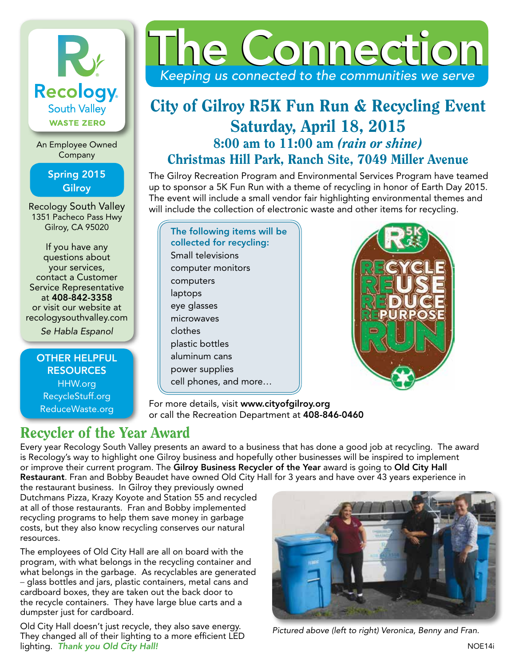# K **Recology** South Valley **WASTE ZERO**

An Employee Owned Company

### Spring 2015 **Gilroy**

Recology South Valley 1351 Pacheco Pass Hwy Gilroy, CA 95020

If you have any questions about your services, contact a Customer Service Representative at 408-842-3358 or visit our website at recologysouthvalley.com

*Se Habla Espanol*

OTHER HELPFUL **RESOURCES** HHW.org RecycleStuff.org ReduceWaste.org



# City of Gilroy R5K Fun Run & Recycling Event Saturday, April 18, 2015 8:00 am to 11:00 am *(rain or shine)* Christmas Hill Park, Ranch Site, 7049 Miller Avenue

The Gilroy Recreation Program and Environmental Services Program have teamed up to sponsor a 5K Fun Run with a theme of recycling in honor of Earth Day 2015. The event will include a small vendor fair highlighting environmental themes and will include the collection of electronic waste and other items for recycling.

| The following items will be |
|-----------------------------|
| collected for recycling:    |
| Small televisions           |
| computer monitors           |
| computers                   |
| laptops                     |
| eye glasses                 |
| microwaves                  |
| clothes                     |
| plastic bottles             |
| aluminum cans               |
| power supplies              |
| cell phones, and more       |



For more details, visit www.cityofgilroy.org or call the Recreation Department at 408-846-0460

# Recycler of the Year Award

Every year Recology South Valley presents an award to a business that has done a good job at recycling. The award is Recology's way to highlight one Gilroy business and hopefully other businesses will be inspired to implement or improve their current program. The Gilroy Business Recycler of the Year award is going to Old City Hall Restaurant. Fran and Bobby Beaudet have owned Old City Hall for 3 years and have over 43 years experience in

the restaurant business. In Gilroy they previously owned Dutchmans Pizza, Krazy Koyote and Station 55 and recycled at all of those restaurants. Fran and Bobby implemented recycling programs to help them save money in garbage costs, but they also know recycling conserves our natural resources.

The employees of Old City Hall are all on board with the program, with what belongs in the recycling container and what belongs in the garbage. As recyclables are generated - glass bottles and jars, plastic containers, metal cans and cardboard boxes, they are taken out the back door to the recycle containers. They have large blue carts and a dumpster just for cardboard.

Old City Hall doesn't just recycle, they also save energy. They changed all of their lighting to a more efficient LED lighting. *Thank you Old City Hall!*



*Pictured above (left to right) Veronica, Benny and Fran.*